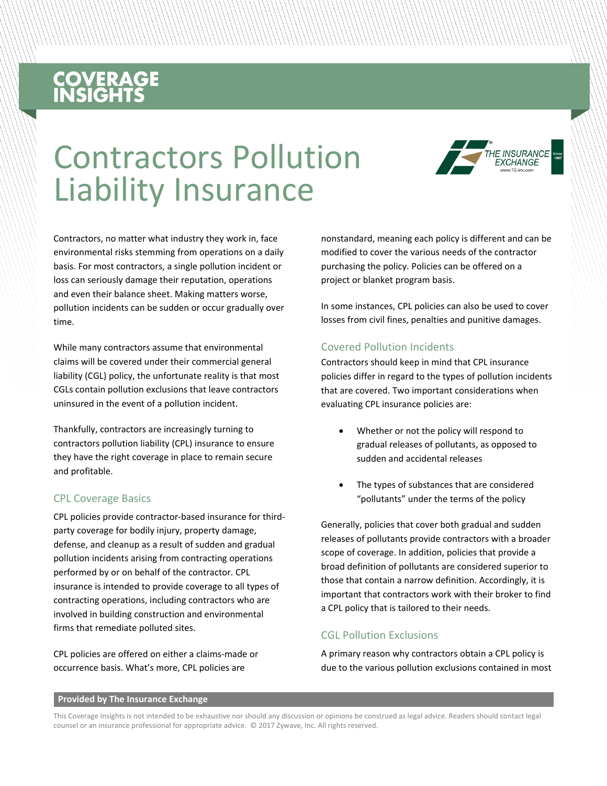# **COVERAGE**<br>INSIGHTS

## Contractors Pollution Liability Insurance



Contractors, no matter what industry they work in, face environmental risks stemming from operations on a daily basis. For most contractors, a single pollution incident or loss can seriously damage their reputation, operations and even their balance sheet. Making matters worse, pollution incidents can be sudden or occur gradually over time.

While many contractors assume that environmental claims will be covered under their commercial general liability (CGL) policy, the unfortunate reality is that most CGLs contain pollution exclusions that leave contractors uninsured in the event of a pollution incident.

Thankfully, contractors are increasingly turning to contractors pollution liability (CPL) insurance to ensure they have the right coverage in place to remain secure and profitable.

#### CPL Coverage Basics

CPL policies provide contractor-based insurance for thirdparty coverage for bodily injury, property damage, defense, and cleanup as a result of sudden and gradual pollution incidents arising from contracting operations performed by or on behalf of the contractor. CPL insurance is intended to provide coverage to all types of contracting operations, including contractors who are involved in building construction and environmental firms that remediate polluted sites.

CPL policies are offered on either a claims-made or occurrence basis. What's more, CPL policies are

nonstandard, meaning each policy is different and can be modified to cover the various needs of the contractor purchasing the policy. Policies can be offered on a project or blanket program basis.

In some instances, CPL policies can also be used to cover losses from civil fines, penalties and punitive damages.

#### Covered Pollution Incidents

Contractors should keep in mind that CPL insurance policies differ in regard to the types of pollution incidents that are covered. Two important considerations when evaluating CPL insurance policies are:

- Whether or not the policy will respond to gradual releases of pollutants, as opposed to sudden and accidental releases
- The types of substances that are considered "pollutants" under the terms of the policy

Generally, policies that cover both gradual and sudden releases of pollutants provide contractors with a broader scope of coverage. In addition, policies that provide a broad definition of pollutants are considered superior to those that contain a narrow definition. Accordingly, it is important that contractors work with their broker to find a CPL policy that is tailored to their needs.

#### CGL Pollution Exclusions

A primary reason why contractors obtain a CPL policy is due to the various pollution exclusions contained in most

#### **Provided by The Insurance Exchange**

This Coverage Insights is not intended to be exhaustive nor should any discussion or opinions be construed as legal advice. Readers should contact legal counsel or an insurance professional for appropriate advice. © 2017 Zywave, Inc. All rights reserved.